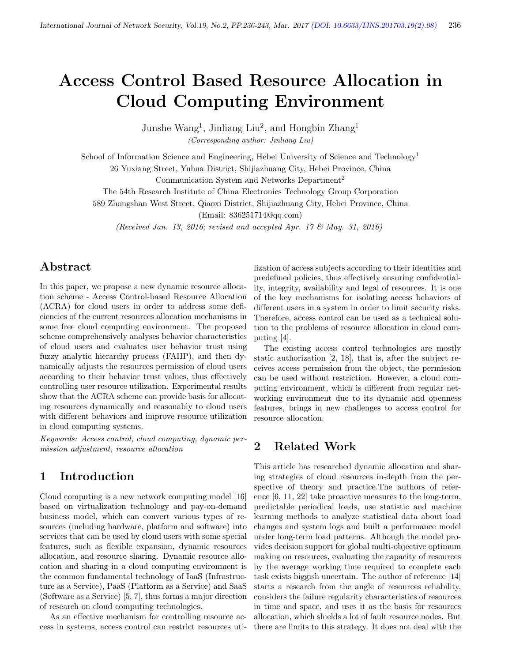# Access Control Based Resource Allocation in Cloud Computing Environment

Junshe Wang<sup>1</sup>, Jinliang Liu<sup>2</sup>, and Hongbin Zhang<sup>1</sup>

(Corresponding author: Jinliang Liu)

School of Information Science and Engineering, Hebei University of Science and Technology<sup>1</sup>

26 Yuxiang Street, Yuhua District, Shijiazhuang City, Hebei Province, China

Communication System and Networks Department<sup>2</sup>

The 54th Research Institute of China Electronics Technology Group Corporation

589 Zhongshan West Street, Qiaoxi District, Shijiazhuang City, Hebei Province, China

(Email: 836251714@qq.com)

(Received Jan. 13, 2016; revised and accepted Apr. 17 & May. 31, 2016)

# Abstract

In this paper, we propose a new dynamic resource allocation scheme - Access Control-based Resource Allocation (ACRA) for cloud users in order to address some deficiencies of the current resources allocation mechanisms in some free cloud computing environment. The proposed scheme comprehensively analyses behavior characteristics of cloud users and evaluates user behavior trust using fuzzy analytic hierarchy process (FAHP), and then dynamically adjusts the resources permission of cloud users according to their behavior trust values, thus effectively controlling user resource utilization. Experimental results show that the ACRA scheme can provide basis for allocating resources dynamically and reasonably to cloud users with different behaviors and improve resource utilization in cloud computing systems.

Keywords: Access control, cloud computing, dynamic permission adjustment, resource allocation

# 1 Introduction

Cloud computing is a new network computing model [16] based on virtualization technology and pay-on-demand business model, which can convert various types of resources (including hardware, platform and software) into services that can be used by cloud users with some special features, such as flexible expansion, dynamic resources allocation, and resource sharing. Dynamic resource allocation and sharing in a cloud computing environment is the common fundamental technology of IaaS (Infrastructure as a Service), PaaS (Platform as a Service) and SaaS (Software as a Service) [5, 7], thus forms a major direction of research on cloud computing technologies.

As an effective mechanism for controlling resource access in systems, access control can restrict resources uti-

lization of access subjects according to their identities and predefined policies, thus effectively ensuring confidentiality, integrity, availability and legal of resources. It is one of the key mechanisms for isolating access behaviors of different users in a system in order to limit security risks. Therefore, access control can be used as a technical solution to the problems of resource allocation in cloud computing [4].

The existing access control technologies are mostly static authorization [2, 18], that is, after the subject receives access permission from the object, the permission can be used without restriction. However, a cloud computing environment, which is different from regular networking environment due to its dynamic and openness features, brings in new challenges to access control for resource allocation.

# 2 Related Work

This article has researched dynamic allocation and sharing strategies of cloud resources in-depth from the perspective of theory and practice.The authors of reference [6, 11, 22] take proactive measures to the long-term, predictable periodical loads, use statistic and machine learning methods to analyze statistical data about load changes and system logs and built a performance model under long-term load patterns. Although the model provides decision support for global multi-objective optimum making on resources, evaluating the capacity of resources by the average working time required to complete each task exists biggish uncertain. The author of reference [14] starts a research from the angle of resources reliability, considers the failure regularity characteristics of resources in time and space, and uses it as the basis for resources allocation, which shields a lot of fault resource nodes. But there are limits to this strategy. It does not deal with the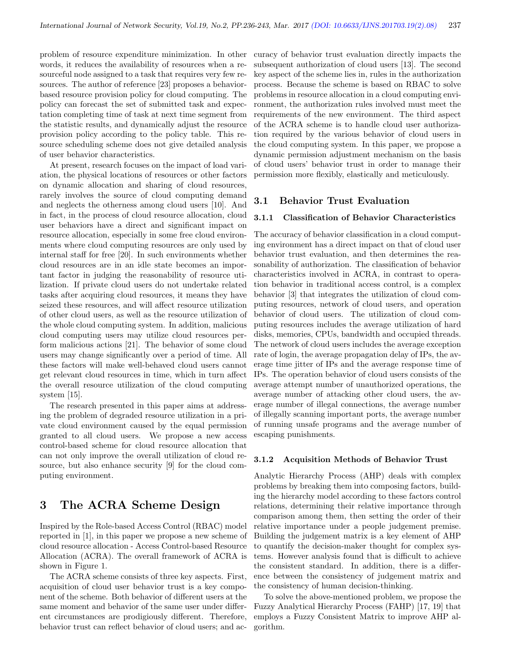problem of resource expenditure minimization. In other words, it reduces the availability of resources when a resourceful node assigned to a task that requires very few resources. The author of reference [23] proposes a behaviorbased resource provision policy for cloud computing. The policy can forecast the set of submitted task and expectation completing time of task at next time segment from the statistic results, and dynamically adjust the resource provision policy according to the policy table. This resource scheduling scheme does not give detailed analysis of user behavior characteristics.

At present, research focuses on the impact of load variation, the physical locations of resources or other factors on dynamic allocation and sharing of cloud resources, rarely involves the source of cloud computing demand and neglects the otherness among cloud users [10]. And in fact, in the process of cloud resource allocation, cloud user behaviors have a direct and significant impact on resource allocation, especially in some free cloud environments where cloud computing resources are only used by internal staff for free [20]. In such environments whether cloud resources are in an idle state becomes an important factor in judging the reasonability of resource utilization. If private cloud users do not undertake related tasks after acquiring cloud resources, it means they have seized these resources, and will affect resource utilization of other cloud users, as well as the resource utilization of the whole cloud computing system. In addition, malicious cloud computing users may utilize cloud resources perform malicious actions [21]. The behavior of some cloud users may change significantly over a period of time. All these factors will make well-behaved cloud users cannot get relevant cloud resources in time, which in turn affect the overall resource utilization of the cloud computing system [15].

The research presented in this paper aims at addressing the problem of degraded resource utilization in a private cloud environment caused by the equal permission granted to all cloud users. We propose a new access control-based scheme for cloud resource allocation that can not only improve the overall utilization of cloud resource, but also enhance security [9] for the cloud computing environment.

## 3 The ACRA Scheme Design

Inspired by the Role-based Access Control (RBAC) model reported in [1], in this paper we propose a new scheme of cloud resource allocation - Access Control-based Resource Allocation (ACRA). The overall framework of ACRA is shown in Figure 1.

The ACRA scheme consists of three key aspects. First, acquisition of cloud user behavior trust is a key component of the scheme. Both behavior of different users at the same moment and behavior of the same user under different circumstances are prodigiously different. Therefore, behavior trust can reflect behavior of cloud users; and accuracy of behavior trust evaluation directly impacts the subsequent authorization of cloud users [13]. The second key aspect of the scheme lies in, rules in the authorization process. Because the scheme is based on RBAC to solve problems in resource allocation in a cloud computing environment, the authorization rules involved must meet the requirements of the new environment. The third aspect of the ACRA scheme is to handle cloud user authorization required by the various behavior of cloud users in the cloud computing system. In this paper, we propose a dynamic permission adjustment mechanism on the basis of cloud users' behavior trust in order to manage their permission more flexibly, elastically and meticulously.

## 3.1 Behavior Trust Evaluation

#### 3.1.1 Classification of Behavior Characteristics

The accuracy of behavior classification in a cloud computing environment has a direct impact on that of cloud user behavior trust evaluation, and then determines the reasonability of authorization. The classification of behavior characteristics involved in ACRA, in contrast to operation behavior in traditional access control, is a complex behavior [3] that integrates the utilization of cloud computing resources, network of cloud users, and operation behavior of cloud users. The utilization of cloud computing resources includes the average utilization of hard disks, memories, CPUs, bandwidth and occupied threads. The network of cloud users includes the average exception rate of login, the average propagation delay of IPs, the average time jitter of IPs and the average response time of IPs. The operation behavior of cloud users consists of the average attempt number of unauthorized operations, the average number of attacking other cloud users, the average number of illegal connections, the average number of illegally scanning important ports, the average number of running unsafe programs and the average number of escaping punishments.

#### 3.1.2 Acquisition Methods of Behavior Trust

Analytic Hierarchy Process (AHP) deals with complex problems by breaking them into composing factors, building the hierarchy model according to these factors control relations, determining their relative importance through comparison among them, then setting the order of their relative importance under a people judgement premise. Building the judgement matrix is a key element of AHP to quantify the decision-maker thought for complex systems. However analysis found that is difficult to achieve the consistent standard. In addition, there is a difference between the consistency of judgement matrix and the consistency of human decision-thinking.

To solve the above-mentioned problem, we propose the Fuzzy Analytical Hierarchy Process (FAHP) [17, 19] that employs a Fuzzy Consistent Matrix to improve AHP algorithm.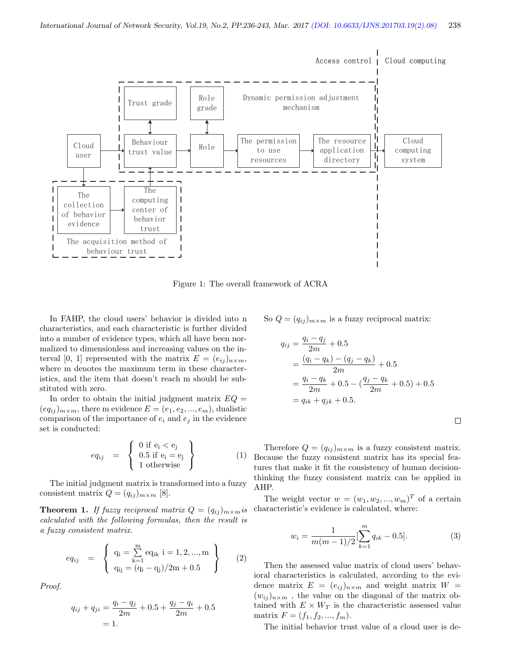

Figure 1: The overall framework of ACRA

In FAHP, the cloud users' behavior is divided into n characteristics, and each characteristic is further divided into a number of evidence types, which all have been normalized to dimensionless and increasing values on the interval [0, 1] represented with the matrix  $E = (e_{ij})_{n \times m}$ , where m denotes the maximum term in these characteristics, and the item that doesn't reach m should be substituted with zero.

In order to obtain the initial judgment matrix  $EQ =$  $(eq_{ij})_{m \times m}$ , there m evidence  $E = (e_1, e_2, ..., e_m)$ , dualistic comparison of the importance of  $e_i$  and  $e_j$  in the evidence set is conducted:

$$
eq_{ij} = \left\{ \begin{array}{l} 0 \text{ if } e_i < e_j \\ 0.5 \text{ if } e_i = e_j \\ 1 \text{ otherwise} \end{array} \right\} \tag{1}
$$

The initial judgment matrix is transformed into a fuzzy consistent matrix  $Q = (q_{ij})_{m \times m}$  [8].

**Theorem 1.** If fuzzy reciprocal matrix  $Q = (q_{ij})_{m \times m}$  is calculated with the following formulas, then the result is a fuzzy consistent matrix.

$$
eq_{ij} = \begin{cases} q_i = \sum_{k=1}^{m} eq_{ik} i = 1, 2, ..., m \\ q_{ij} = (q_i - q_j)/2m + 0.5 \end{cases}
$$
 (2)

Proof.

$$
q_{ij} + q_{ji} = \frac{q_i - q_j}{2m} + 0.5 + \frac{q_j - q_i}{2m} + 0.5
$$
  
= 1.

So  $Q = (q_{ij})_{m \times m}$  is a fuzzy reciprocal matrix:

$$
q_{ij} = \frac{q_i - q_j}{2m} + 0.5
$$
  
= 
$$
\frac{(q_i - q_k) - (q_j - q_k)}{2m} + 0.5
$$
  
= 
$$
\frac{q_i - q_k}{2m} + 0.5 - (\frac{q_j - q_k}{2m} + 0.5) + 0.5
$$
  
= 
$$
q_{ik} + q_{jk} + 0.5.
$$

 $\Box$ 

Therefore  $Q = (q_{ij})_{m \times m}$  is a fuzzy consistent matrix. Because the fuzzy consistent matrix has its special features that make it fit the consistency of human decisionthinking the fuzzy consistent matrix can be applied in AHP.

The weight vector  $w = (w_1, w_2, ..., w_m)^T$  of a certain characteristic's evidence is calculated, where:

$$
w_i = \frac{1}{m(m-1)/2} \left[\sum_{k=1}^{m} q_{ik} - 0.5\right].
$$
 (3)

Then the assessed value matrix of cloud users' behavioral characteristics is calculated, according to the evidence matrix  $E = (e_{ij})_{n \times m}$  and weight matrix  $W =$  $(w_{ij})_{n\times m}$ , the value on the diagonal of the matrix obtained with  $E \times W_T$  is the characteristic assessed value matrix  $F = (f_1, f_2, ..., f_m).$ 

The initial behavior trust value of a cloud user is de-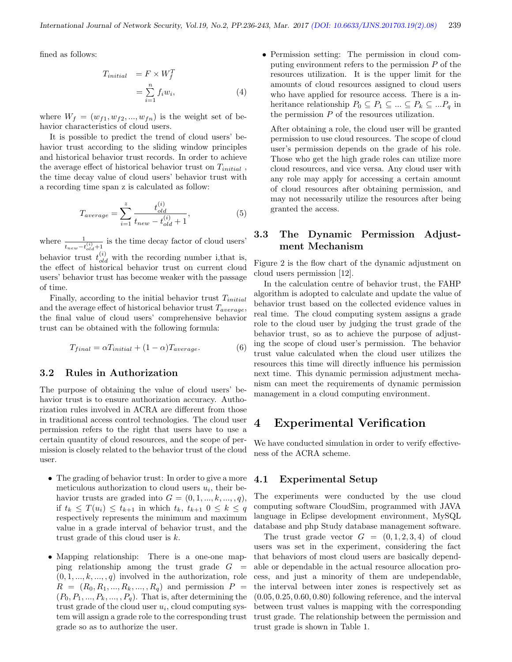fined as follows:

$$
T_{initial} = F \times W_f^T
$$
  
= 
$$
\sum_{i=1}^n f_i w_i,
$$
 (4)

where  $W_f = (w_{f1}, w_{f2}, ..., w_{fn})$  is the weight set of behavior characteristics of cloud users.

It is possible to predict the trend of cloud users' behavior trust according to the sliding window principles and historical behavior trust records. In order to achieve the average effect of historical behavior trust on  $T_{initial}$ , the time decay value of cloud users' behavior trust with a recording time span z is calculated as follow:

$$
T_{average} = \sum_{i=1}^{z} \frac{t_{old}^{(i)}}{t_{new} - t_{old}^{(i)} + 1},
$$
\n(5)

where  $\frac{1}{t_{new}-t_{old}^{(i)}+1}$  is the time decay factor of cloud users' behavior trust  $t_{old}^{(i)}$  with the recording number i, that is, the effect of historical behavior trust on current cloud users' behavior trust has become weaker with the passage of time.

Finally, according to the initial behavior trust  $T_{initial}$ and the average effect of historical behavior trust  $T_{average}$ , the final value of cloud users' comprehensive behavior trust can be obtained with the following formula:

$$
T_{final} = \alpha T_{initial} + (1 - \alpha) T_{average}.
$$
\n(6)

#### 3.2 Rules in Authorization

The purpose of obtaining the value of cloud users' behavior trust is to ensure authorization accuracy. Authorization rules involved in ACRA are different from those in traditional access control technologies. The cloud user permission refers to the right that users have to use a certain quantity of cloud resources, and the scope of permission is closely related to the behavior trust of the cloud user.

- The grading of behavior trust: In order to give a more meticulous authorization to cloud users  $u_i$ , their behavior trusts are graded into  $G = (0, 1, ..., k, ..., q)$ , if  $t_k \leq T(u_i) \leq t_{k+1}$  in which  $t_k$ ,  $t_{k+1}$   $0 \leq k \leq q$ respectively represents the minimum and maximum value in a grade interval of behavior trust, and the trust grade of this cloud user is  $k$ .
- Mapping relationship: There is a one-one mapping relationship among the trust grade  $G =$  $(0, 1, \ldots, k, \ldots, q)$  involved in the authorization, role  $R = (R_0, R_1, ..., R_k, ..., R_q)$  and permission  $P =$  $(P_0, P_1, \ldots, P_k, \ldots, P_q)$ . That is, after determining the trust grade of the cloud user  $u_i$ , cloud computing system will assign a grade role to the corresponding trust grade so as to authorize the user.

• Permission setting: The permission in cloud computing environment refers to the permission  $P$  of the resources utilization. It is the upper limit for the amounts of cloud resources assigned to cloud users who have applied for resource access. There is a inheritance relationship  $P_0 \subseteq P_1 \subseteq ... \subseteq P_k \subseteq ... P_q$  in the permission  $P$  of the resources utilization.

After obtaining a role, the cloud user will be granted permission to use cloud resources. The scope of cloud user's permission depends on the grade of his role. Those who get the high grade roles can utilize more cloud resources, and vice versa. Any cloud user with any role may apply for accessing a certain amount of cloud resources after obtaining permission, and may not necessarily utilize the resources after being granted the access.

## 3.3 The Dynamic Permission Adjustment Mechanism

Figure 2 is the flow chart of the dynamic adjustment on cloud users permission [12].

In the calculation centre of behavior trust, the FAHP algorithm is adopted to calculate and update the value of behavior trust based on the collected evidence values in real time. The cloud computing system assigns a grade role to the cloud user by judging the trust grade of the behavior trust, so as to achieve the purpose of adjusting the scope of cloud user's permission. The behavior trust value calculated when the cloud user utilizes the resources this time will directly influence his permission next time. This dynamic permission adjustment mechanism can meet the requirements of dynamic permission management in a cloud computing environment.

## 4 Experimental Verification

We have conducted simulation in order to verify effectiveness of the ACRA scheme.

## 4.1 Experimental Setup

The experiments were conducted by the use cloud computing software CloudSim, programmed with JAVA language in Eclipse development environment, MySQL database and php Study database management software.

The trust grade vector  $G = (0, 1, 2, 3, 4)$  of cloud users was set in the experiment, considering the fact that behaviors of most cloud users are basically dependable or dependable in the actual resource allocation process, and just a minority of them are undependable, the interval between inter zones is respectively set as  $(0.05, 0.25, 0.60, 0.80)$  following reference, and the interval between trust values is mapping with the corresponding trust grade. The relationship between the permission and trust grade is shown in Table 1.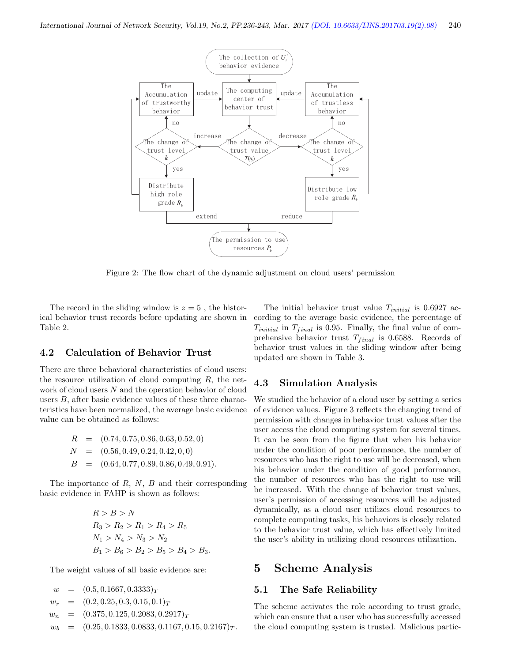

Figure 2: The flow chart of the dynamic adjustment on cloud users' permission

The record in the sliding window is  $z = 5$ , the historical behavior trust records before updating are shown in Table 2.

## 4.2 Calculation of Behavior Trust

There are three behavioral characteristics of cloud users: the resource utilization of cloud computing  $R$ , the network of cloud users N and the operation behavior of cloud users B, after basic evidence values of these three characteristics have been normalized, the average basic evidence value can be obtained as follows:

$$
R = (0.74, 0.75, 0.86, 0.63, 0.52, 0)
$$
  
\n
$$
N = (0.56, 0.49, 0.24, 0.42, 0, 0)
$$
  
\n
$$
B = (0.64, 0.77, 0.89, 0.86, 0.49, 0.91).
$$

The importance of  $R$ ,  $N$ ,  $B$  and their corresponding basic evidence in FAHP is shown as follows:

$$
R > B > N
$$
  
\n
$$
R_3 > R_2 > R_1 > R_4 > R_5
$$
  
\n
$$
N_1 > N_4 > N_3 > N_2
$$
  
\n
$$
B_1 > B_6 > B_2 > B_5 > B_4 > B_3.
$$

The weight values of all basic evidence are:

 $w = (0.5, 0.1667, 0.3333)_T$  $w_r = (0.2, 0.25, 0.3, 0.15, 0.1)_T$  $w_n = (0.375, 0.125, 0.2083, 0.2917)_T$  $w_b = (0.25, 0.1833, 0.0833, 0.1167, 0.15, 0.2167)_T$ .

The initial behavior trust value  $T_{initial}$  is 0.6927 according to the average basic evidence, the percentage of  $T_{initial}$  in  $T_{final}$  is 0.95. Finally, the final value of comprehensive behavior trust  $T_{final}$  is 0.6588. Records of behavior trust values in the sliding window after being updated are shown in Table 3.

## 4.3 Simulation Analysis

We studied the behavior of a cloud user by setting a series of evidence values. Figure 3 reflects the changing trend of permission with changes in behavior trust values after the user access the cloud computing system for several times. It can be seen from the figure that when his behavior under the condition of poor performance, the number of resources who has the right to use will be decreased, when his behavior under the condition of good performance, the number of resources who has the right to use will be increased. With the change of behavior trust values, user's permission of accessing resources will be adjusted dynamically, as a cloud user utilizes cloud resources to complete computing tasks, his behaviors is closely related to the behavior trust value, which has effectively limited the user's ability in utilizing cloud resources utilization.

## 5 Scheme Analysis

## 5.1 The Safe Reliability

The scheme activates the role according to trust grade, which can ensure that a user who has successfully accessed the cloud computing system is trusted. Malicious partic-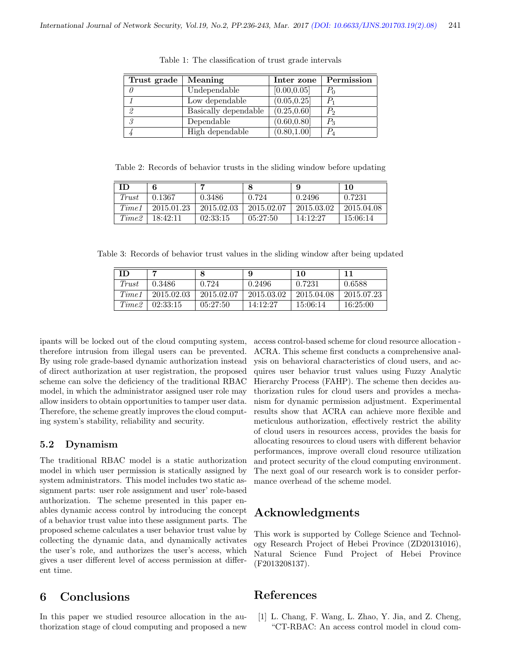| Trust grade | Meaning              | Inter zone   | Permission     |
|-------------|----------------------|--------------|----------------|
|             | Undependable         | [0.00, 0.05] | $P_{0}$        |
|             | Low dependable       | (0.05, 0.25] |                |
| 2           | Basically dependable | (0.25, 0.60] | P <sub>2</sub> |
| 3           | Dependable           | (0.60, 0.80] | $P_3$          |
|             | High dependable      | (0.80, 1.00] |                |

Table 1: The classification of trust grade intervals

Table 2: Records of behavior trusts in the sliding window before updating

|       | 6          | ►          |            | 9          | 10         |
|-------|------------|------------|------------|------------|------------|
| Trust | 0.1367     | 0.3486     | 0.724      | 0.2496     | 0.7231     |
| Time1 | 2015.01.23 | 2015.02.03 | 2015.02.07 | 2015.03.02 | 2015.04.08 |
| Time2 | 18:42:11   | 02:33:15   | 05:27:50   | 14:12:27   | 15:06:14   |

Table 3: Records of behavior trust values in the sliding window after being updated

| <b>ID</b> |            | 8          | 9          | 10         |            |
|-----------|------------|------------|------------|------------|------------|
| Trust     | 0.3486     | 0.724      | 0.2496     | 0.7231     | 0.6588     |
| Time 1    | 2015.02.03 | 2015.02.07 | 2015.03.02 | 2015.04.08 | 2015.07.23 |
| Time2     | 02:33:15   | 05:27:50   | 14:12:27   | 15:06:14   | 16:25:00   |

ipants will be locked out of the cloud computing system, therefore intrusion from illegal users can be prevented. By using role grade-based dynamic authorization instead of direct authorization at user registration, the proposed scheme can solve the deficiency of the traditional RBAC model, in which the administrator assigned user role may allow insiders to obtain opportunities to tamper user data. Therefore, the scheme greatly improves the cloud computing system's stability, reliability and security.

## 5.2 Dynamism

The traditional RBAC model is a static authorization model in which user permission is statically assigned by system administrators. This model includes two static assignment parts: user role assignment and user' role-based authorization. The scheme presented in this paper enables dynamic access control by introducing the concept of a behavior trust value into these assignment parts. The proposed scheme calculates a user behavior trust value by collecting the dynamic data, and dynamically activates the user's role, and authorizes the user's access, which gives a user different level of access permission at different time.

# 6 Conclusions

In this paper we studied resource allocation in the authorization stage of cloud computing and proposed a new

access control-based scheme for cloud resource allocation - ACRA. This scheme first conducts a comprehensive analysis on behavioral characteristics of cloud users, and acquires user behavior trust values using Fuzzy Analytic Hierarchy Process (FAHP). The scheme then decides authorization rules for cloud users and provides a mechanism for dynamic permission adjustment. Experimental results show that ACRA can achieve more flexible and meticulous authorization, effectively restrict the ability of cloud users in resources access, provides the basis for allocating resources to cloud users with different behavior performances, improve overall cloud resource utilization and protect security of the cloud computing environment. The next goal of our research work is to consider performance overhead of the scheme model.

# Acknowledgments

This work is supported by College Science and Technology Research Project of Hebei Province (ZD20131016), Natural Science Fund Project of Hebei Province (F2013208137).

## References

[1] L. Chang, F. Wang, L. Zhao, Y. Jia, and Z. Cheng, "CT-RBAC: An access control model in cloud com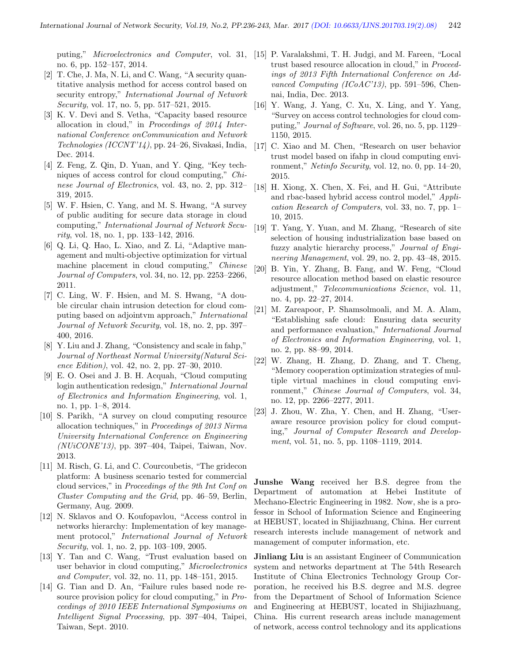no. 6, pp. 152–157, 2014.

- [2] T. Che, J. Ma, N. Li, and C. Wang, "A security quantitative analysis method for access control based on security entropy," International Journal of Network Security, vol. 17, no. 5, pp. 517–521, 2015.
- [3] K. V. Devi and S. Vetha, "Capacity based resource allocation in cloud," in Proceedings of 2014 International Conference onCommunication and Network Technologies (ICCNT'14), pp. 24–26, Sivakasi, India, Dec. 2014.
- [4] Z. Feng, Z. Qin, D. Yuan, and Y. Qing, "Key techniques of access control for cloud computing," Chinese Journal of Electronics, vol. 43, no. 2, pp. 312– 319, 2015.
- [5] W. F. Hsien, C. Yang, and M. S. Hwang, "A survey of public auditing for secure data storage in cloud computing," International Journal of Network Security, vol. 18, no. 1, pp. 133–142, 2016.
- [6] Q. Li, Q. Hao, L. Xiao, and Z. Li, "Adaptive management and multi-objective optimization for virtual machine placement in cloud computing," Chinese Journal of Computers, vol. 34, no. 12, pp. 2253–2266, 2011.
- [7] C. Ling, W. F. Hsien, and M. S. Hwang, "A double circular chain intrusion detection for cloud computing based on adjointvm approach," International Journal of Network Security, vol. 18, no. 2, pp. 397– 400, 2016.
- [8] Y. Liu and J. Zhang, "Consistency and scale in fahp," Journal of Northeast Normal University(Natural Science Edition), vol. 42, no. 2, pp. 27–30, 2010.
- [9] E. O. Osei and J. B. H. Acquah, "Cloud computing login authentication redesign," International Journal of Electronics and Information Engineering, vol. 1, no. 1, pp. 1–8, 2014.
- [10] S. Parikh, "A survey on cloud computing resource allocation techniques," in Proceedings of 2013 Nirma University International Conference on Engineering (NUiCONE'13), pp. 397–404, Taipei, Taiwan, Nov. 2013.
- [11] M. Risch, G. Li, and C. Courcoubetis, "The gridecon platform: A business scenario tested for commercial cloud services," in Proceedings of the 9th Int Conf on Cluster Computing and the Grid, pp. 46–59, Berlin, Germany, Aug. 2009.
- [12] N. Sklavos and O. Koufopavlou, "Access control in networks hierarchy: Implementation of key management protocol," International Journal of Network Security, vol. 1, no. 2, pp. 103–109, 2005.
- [13] Y. Tan and C. Wang, "Trust evaluation based on user behavior in cloud computing," Microelectronics and Computer, vol. 32, no. 11, pp. 148–151, 2015.
- [14] G. Tian and D. An, "Failure rules based node resource provision policy for cloud computing," in Proceedings of 2010 IEEE International Symposiums on Intelligent Signal Processing, pp. 397–404, Taipei, Taiwan, Sept. 2010.
- puting," *Microelectronics and Computer*, vol. 31, [15] P. Varalakshmi, T. H. Judgi, and M. Fareen, "Local trust based resource allocation in cloud," in Proceedings of 2013 Fifth International Conference on Advanced Computing (ICoAC'13), pp. 591–596, Chennai, India, Dec. 2013.
	- [16] Y. Wang, J. Yang, C. Xu, X. Ling, and Y. Yang, "Survey on access control technologies for cloud computing," Journal of Software, vol. 26, no. 5, pp. 1129– 1150, 2015.
	- [17] C. Xiao and M. Chen, "Research on user behavior trust model based on ifahp in cloud computing environment," Netinfo Security, vol. 12, no. 0, pp. 14–20, 2015.
	- [18] H. Xiong, X. Chen, X. Fei, and H. Gui, "Attribute and rbac-based hybrid access control model," Application Research of Computers, vol. 33, no. 7, pp. 1– 10, 2015.
	- [19] T. Yang, Y. Yuan, and M. Zhang, "Research of site selection of housing industrialization base based on fuzzy analytic hierarchy process," Journal of Engineering Management, vol. 29, no. 2, pp. 43–48, 2015.
	- [20] B. Yin, Y. Zhang, B. Fang, and W. Feng, "Cloud resource allocation method based on elastic resource adjustment," Telecommunications Science, vol. 11, no. 4, pp. 22–27, 2014.
	- [21] M. Zareapoor, P. Shamsolmoali, and M. A. Alam, "Establishing safe cloud: Ensuring data security and performance evaluation," International Journal of Electronics and Information Engineering, vol. 1, no. 2, pp. 88–99, 2014.
	- [22] W. Zhang, H. Zhang, D. Zhang, and T. Cheng, "Memory cooperation optimization strategies of multiple virtual machines in cloud computing environment," Chinese Journal of Computers, vol. 34, no. 12, pp. 2266–2277, 2011.
	- [23] J. Zhou, W. Zha, Y. Chen, and H. Zhang, "Useraware resource provision policy for cloud computing," Journal of Computer Research and Development, vol. 51, no. 5, pp. 1108–1119, 2014.

Junshe Wang received her B.S. degree from the Department of automation at Hebei Institute of Mechano-Electric Engineering in 1982. Now, she is a professor in School of Information Science and Engineering at HEBUST, located in Shijiazhuang, China. Her current research interests include management of network and management of computer information, etc.

Jinliang Liu is an assistant Engineer of Communication system and networks department at The 54th Research Institute of China Electronics Technology Group Corporation, he received his B.S. degree and M.S. degree from the Department of School of Information Science and Engineering at HEBUST, located in Shijiazhuang, China. His current research areas include management of network, access control technology and its applications